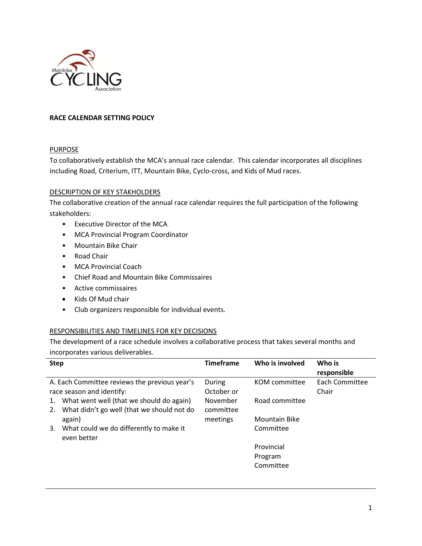

## **RACE CALENDAR SETTING POLICY**

## **PURPOSE**

To collaboratively establish the MCA's annual race calendar. This calendar incorporates all disciplines including Road, Criterium, ITT, Mountain Bike, Cyclo-cross, and Kids of Mud races.

## DESCRIPTION OF KEY STAKHOLDERS

The collaborative creation of the annual race calendar requires the full participation of the following stakeholders:

- Executive Director of the MCA
- MCA Provincial Program Coordinator
- Mountain Bike Chair
- Road Chair
- MCA Provincial Coach
- Chief Road and Mountain Bike Commissaires
- Active commissaires
- Kids Of Mud chair
- Club organizers responsible for individual events.

## RESPONSIBILITIES AND TIMELINES FOR KEY DECISIONS

The development of a race schedule involves a collaborative process that takes several months and incorporates various deliverables.

| <b>Step</b>                                                                                        | <b>Timeframe</b>      | Who is involved | Who is<br>responsible   |
|----------------------------------------------------------------------------------------------------|-----------------------|-----------------|-------------------------|
| A. Each Committee reviews the previous year's<br>race season and identify:                         | During<br>October or  | KOM committee   | Each Committee<br>Chair |
| What went well (that we should do again)<br>1.<br>What didn't go well (that we should not do<br>2. | November<br>committee | Road committee  |                         |
| again)                                                                                             | meetings              | Mountain Bike   |                         |
| What could we do differently to make it<br>3.<br>even better                                       |                       | Committee       |                         |
|                                                                                                    |                       | Provincial      |                         |
|                                                                                                    |                       | Program         |                         |
|                                                                                                    |                       | Committee       |                         |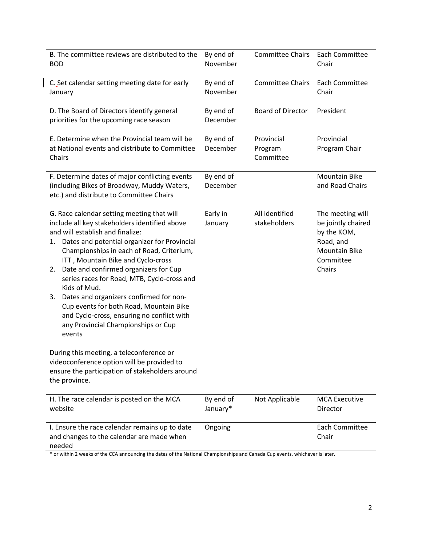| B. The committee reviews are distributed to the<br><b>BOD</b>                                                                                                                                                                                                                                                                                                                                                                                                                                                                                                                                                                                                                                                                  | By end of<br>November | <b>Committee Chairs</b>            | Each Committee<br>Chair                                                                                           |
|--------------------------------------------------------------------------------------------------------------------------------------------------------------------------------------------------------------------------------------------------------------------------------------------------------------------------------------------------------------------------------------------------------------------------------------------------------------------------------------------------------------------------------------------------------------------------------------------------------------------------------------------------------------------------------------------------------------------------------|-----------------------|------------------------------------|-------------------------------------------------------------------------------------------------------------------|
| C. Set calendar setting meeting date for early<br>January                                                                                                                                                                                                                                                                                                                                                                                                                                                                                                                                                                                                                                                                      | By end of<br>November | <b>Committee Chairs</b>            | Each Committee<br>Chair                                                                                           |
| D. The Board of Directors identify general<br>priorities for the upcoming race season                                                                                                                                                                                                                                                                                                                                                                                                                                                                                                                                                                                                                                          | By end of<br>December | <b>Board of Director</b>           | President                                                                                                         |
| E. Determine when the Provincial team will be<br>at National events and distribute to Committee<br>Chairs                                                                                                                                                                                                                                                                                                                                                                                                                                                                                                                                                                                                                      | By end of<br>December | Provincial<br>Program<br>Committee | Provincial<br>Program Chair                                                                                       |
| F. Determine dates of major conflicting events<br>(including Bikes of Broadway, Muddy Waters,<br>etc.) and distribute to Committee Chairs                                                                                                                                                                                                                                                                                                                                                                                                                                                                                                                                                                                      | By end of<br>December |                                    | <b>Mountain Bike</b><br>and Road Chairs                                                                           |
| G. Race calendar setting meeting that will<br>include all key stakeholders identified above<br>and will establish and finalize:<br>Dates and potential organizer for Provincial<br>1.<br>Championships in each of Road, Criterium,<br>ITT, Mountain Bike and Cyclo-cross<br>Date and confirmed organizers for Cup<br>2.<br>series races for Road, MTB, Cyclo-cross and<br>Kids of Mud.<br>Dates and organizers confirmed for non-<br>3.<br>Cup events for both Road, Mountain Bike<br>and Cyclo-cross, ensuring no conflict with<br>any Provincial Championships or Cup<br>events<br>During this meeting, a teleconference or<br>videoconference option will be provided to<br>ensure the participation of stakeholders around | Early in<br>January   | All identified<br>stakeholders     | The meeting will<br>be jointly chaired<br>by the KOM,<br>Road, and<br><b>Mountain Bike</b><br>Committee<br>Chairs |
| the province.<br>H. The race calendar is posted on the MCA<br>website                                                                                                                                                                                                                                                                                                                                                                                                                                                                                                                                                                                                                                                          | By end of<br>January* | Not Applicable                     | <b>MCA Executive</b><br>Director                                                                                  |
| I. Ensure the race calendar remains up to date<br>and changes to the calendar are made when<br>needed<br>or within 2 weeks of the CCA announcing the dates of the National Championships and Canada Cun events, whichever is later                                                                                                                                                                                                                                                                                                                                                                                                                                                                                             | Ongoing               |                                    | Each Committee<br>Chair                                                                                           |

 $\overline{\phantom{a}}$ 

or within 2 weeks of the CCA announcing the dates of the National Championships and Canada Cup events, whichever is later.